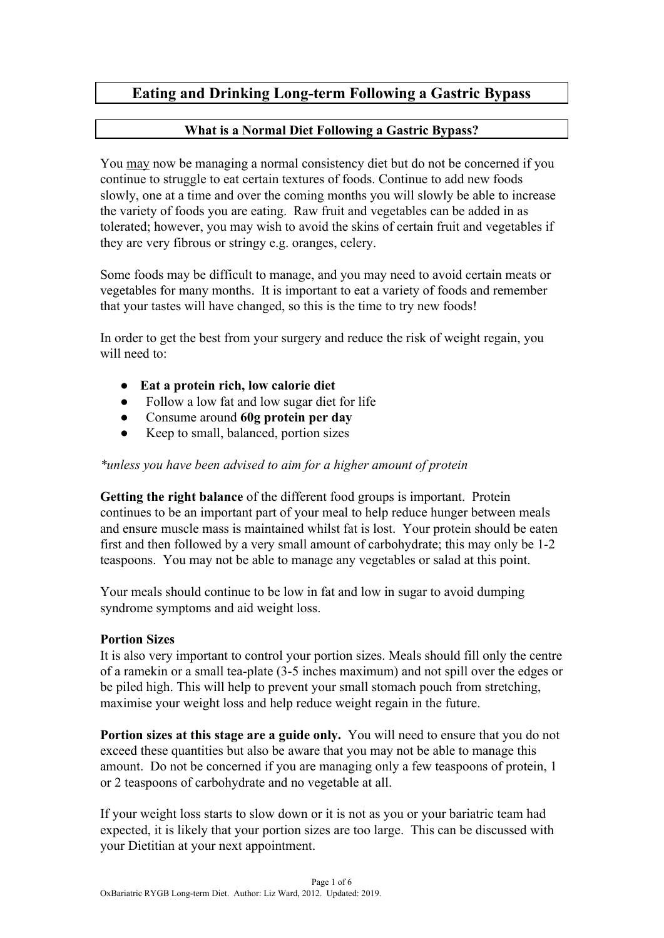# **Eating and Drinking Long-term Following a Gastric Bypass**

#### **What is a Normal Diet Following a Gastric Bypass?**

You may now be managing a normal consistency diet but do not be concerned if you continue to struggle to eat certain textures of foods. Continue to add new foods slowly, one at a time and over the coming months you will slowly be able to increase the variety of foods you are eating. Raw fruit and vegetables can be added in as tolerated; however, you may wish to avoid the skins of certain fruit and vegetables if they are very fibrous or stringy e.g. oranges, celery.

Some foods may be difficult to manage, and you may need to avoid certain meats or vegetables for many months. It is important to eat a variety of foods and remember that your tastes will have changed, so this is the time to try new foods!

In order to get the best from your surgery and reduce the risk of weight regain, you will need to:

- **Eat a protein rich, low calorie diet**
- Follow a low fat and low sugar diet for life
- Consume around **60g protein per day**
- Keep to small, balanced, portion sizes

#### *\*unless you have been advised to aim for a higher amount of protein*

**Getting the right balance** of the different food groups is important. Protein continues to be an important part of your meal to help reduce hunger between meals and ensure muscle mass is maintained whilst fat is lost. Your protein should be eaten first and then followed by a very small amount of carbohydrate; this may only be 1-2 teaspoons. You may not be able to manage any vegetables or salad at this point.

Your meals should continue to be low in fat and low in sugar to avoid dumping syndrome symptoms and aid weight loss.

#### **Portion Sizes**

It is also very important to control your portion sizes. Meals should fill only the centre of a ramekin or a small tea-plate (3-5 inches maximum) and not spill over the edges or be piled high. This will help to prevent your small stomach pouch from stretching, maximise your weight loss and help reduce weight regain in the future.

**Portion sizes at this stage are a guide only.** You will need to ensure that you do not exceed these quantities but also be aware that you may not be able to manage this amount. Do not be concerned if you are managing only a few teaspoons of protein, 1 or 2 teaspoons of carbohydrate and no vegetable at all.

If your weight loss starts to slow down or it is not as you or your bariatric team had expected, it is likely that your portion sizes are too large. This can be discussed with your Dietitian at your next appointment.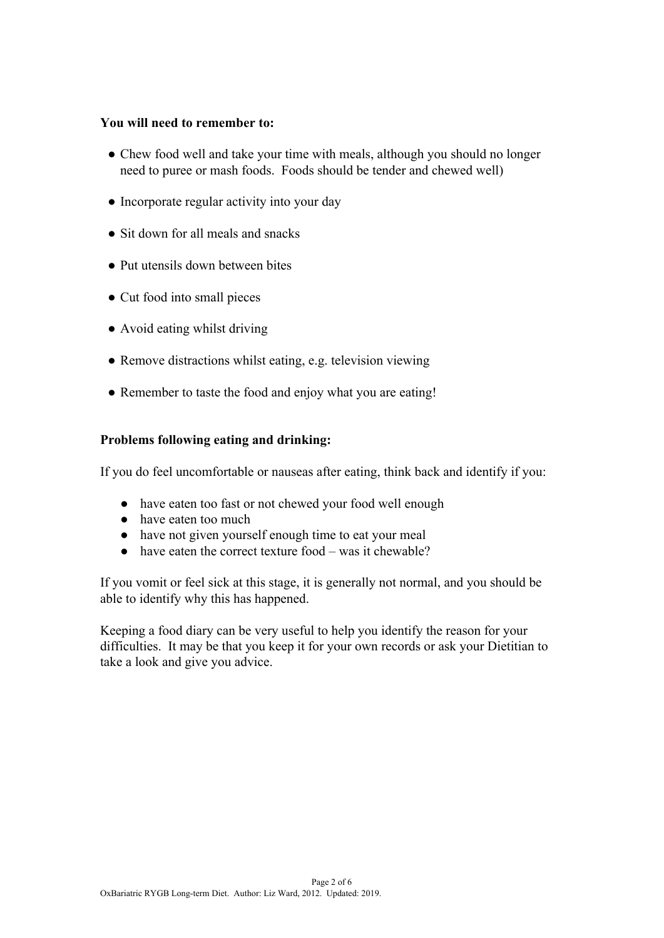#### **You will need to remember to:**

- Chew food well and take your time with meals, although you should no longer need to puree or mash foods. Foods should be tender and chewed well)
- Incorporate regular activity into your day
- Sit down for all meals and snacks
- Put utensils down between bites
- Cut food into small pieces
- Avoid eating whilst driving
- Remove distractions whilst eating, e.g. television viewing
- Remember to taste the food and enjoy what you are eating!

#### **Problems following eating and drinking:**

If you do feel uncomfortable or nauseas after eating, think back and identify if you:

- have eaten too fast or not chewed your food well enough
- have eaten too much
- have not given yourself enough time to eat your meal
- have eaten the correct texture food was it chewable?

If you vomit or feel sick at this stage, it is generally not normal, and you should be able to identify why this has happened.

Keeping a food diary can be very useful to help you identify the reason for your difficulties. It may be that you keep it for your own records or ask your Dietitian to take a look and give you advice.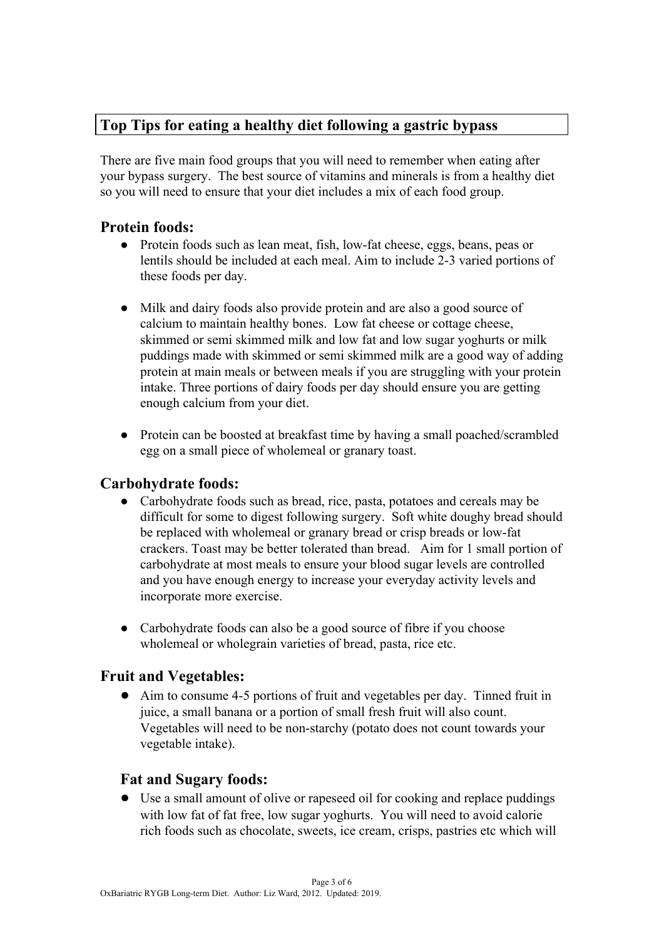# **Top Tips for eating a healthy diet following a gastric bypass**

There are five main food groups that you will need to remember when eating after your bypass surgery. The best source of vitamins and minerals is from a healthy diet so you will need to ensure that your diet includes a mix of each food group.

## **Protein foods:**

- Protein foods such as lean meat, fish, low-fat cheese, eggs, beans, peas or lentils should be included at each meal. Aim to include 2-3 varied portions of these foods per day.
- Milk and dairy foods also provide protein and are also a good source of calcium to maintain healthy bones. Low fat cheese or cottage cheese, skimmed or semi skimmed milk and low fat and low sugar yoghurts or milk puddings made with skimmed or semi skimmed milk are a good way of adding protein at main meals or between meals if you are struggling with your protein intake. Three portions of dairy foods per day should ensure you are getting enough calcium from your diet.
- Protein can be boosted at breakfast time by having a small poached/scrambled egg on a small piece of wholemeal or granary toast.

## **Carbohydrate foods:**

- Carbohydrate foods such as bread, rice, pasta, potatoes and cereals may be difficult for some to digest following surgery. Soft white doughy bread should be replaced with wholemeal or granary bread or crisp breads or low-fat crackers. Toast may be better tolerated than bread. Aim for 1 small portion of carbohydrate at most meals to ensure your blood sugar levels are controlled and you have enough energy to increase your everyday activity levels and incorporate more exercise.
- Carbohydrate foods can also be a good source of fibre if you choose wholemeal or wholegrain varieties of bread, pasta, rice etc.

## **Fruit and Vegetables:**

● Aim to consume 4-5 portions of fruit and vegetables per day. Tinned fruit in juice, a small banana or a portion of small fresh fruit will also count. Vegetables will need to be non-starchy (potato does not count towards your vegetable intake).

## **Fat and Sugary foods:**

● Use a small amount of olive or rapeseed oil for cooking and replace puddings with low fat of fat free, low sugar yoghurts. You will need to avoid calorie rich foods such as chocolate, sweets, ice cream, crisps, pastries etc which will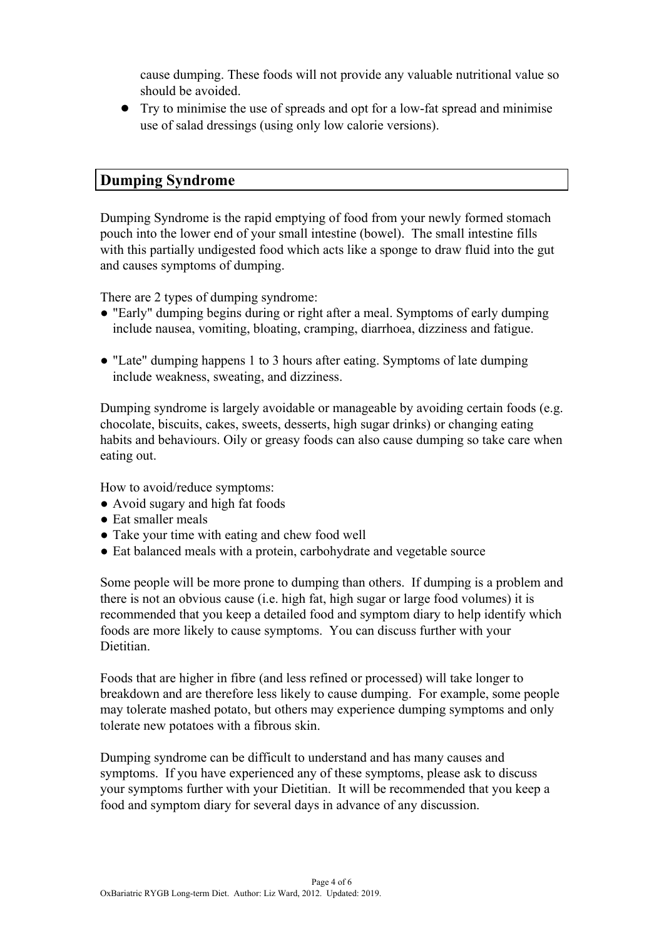cause dumping. These foods will not provide any valuable nutritional value so should be avoided.

● Try to minimise the use of spreads and opt for a low-fat spread and minimise use of salad dressings (using only low calorie versions).

## **Dumping Syndrome**

Dumping Syndrome is the rapid emptying of food from your newly formed stomach pouch into the lower end of your small intestine (bowel). The small intestine fills with this partially undigested food which acts like a sponge to draw fluid into the gut and causes symptoms of dumping.

There are 2 types of dumping syndrome:

- "Early" dumping begins during or right after a meal. Symptoms of early dumping include nausea, vomiting, bloating, cramping, diarrhoea, dizziness and fatigue.
- "Late" dumping happens 1 to 3 hours after eating. Symptoms of late dumping include weakness, sweating, and dizziness.

Dumping syndrome is largely avoidable or manageable by avoiding certain foods (e.g. chocolate, biscuits, cakes, sweets, desserts, high sugar drinks) or changing eating habits and behaviours. Oily or greasy foods can also cause dumping so take care when eating out.

How to avoid/reduce symptoms:

- Avoid sugary and high fat foods
- Eat smaller meals
- Take your time with eating and chew food well
- Eat balanced meals with a protein, carbohydrate and vegetable source

Some people will be more prone to dumping than others. If dumping is a problem and there is not an obvious cause (i.e. high fat, high sugar or large food volumes) it is recommended that you keep a detailed food and symptom diary to help identify which foods are more likely to cause symptoms. You can discuss further with your Dietitian.

Foods that are higher in fibre (and less refined or processed) will take longer to breakdown and are therefore less likely to cause dumping. For example, some people may tolerate mashed potato, but others may experience dumping symptoms and only tolerate new potatoes with a fibrous skin.

Dumping syndrome can be difficult to understand and has many causes and symptoms. If you have experienced any of these symptoms, please ask to discuss your symptoms further with your Dietitian. It will be recommended that you keep a food and symptom diary for several days in advance of any discussion.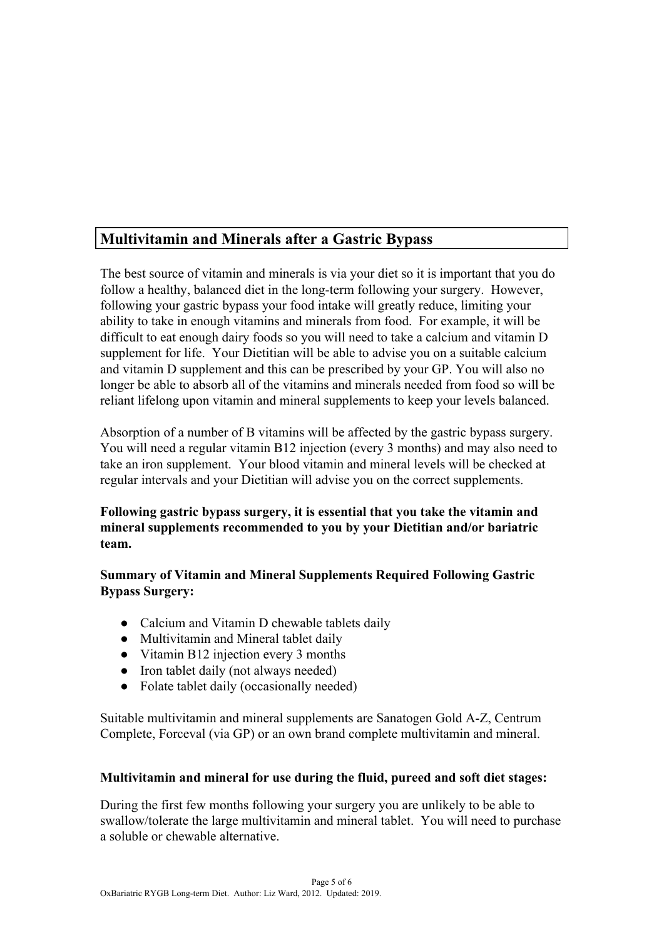# **Multivitamin and Minerals after a Gastric Bypass**

The best source of vitamin and minerals is via your diet so it is important that you do follow a healthy, balanced diet in the long-term following your surgery. However, following your gastric bypass your food intake will greatly reduce, limiting your ability to take in enough vitamins and minerals from food. For example, it will be difficult to eat enough dairy foods so you will need to take a calcium and vitamin D supplement for life. Your Dietitian will be able to advise you on a suitable calcium and vitamin D supplement and this can be prescribed by your GP. You will also no longer be able to absorb all of the vitamins and minerals needed from food so will be reliant lifelong upon vitamin and mineral supplements to keep your levels balanced.

Absorption of a number of B vitamins will be affected by the gastric bypass surgery. You will need a regular vitamin B12 injection (every 3 months) and may also need to take an iron supplement. Your blood vitamin and mineral levels will be checked at regular intervals and your Dietitian will advise you on the correct supplements.

**Following gastric bypass surgery, it is essential that you take the vitamin and mineral supplements recommended to you by your Dietitian and/or bariatric team.**

## **Summary of Vitamin and Mineral Supplements Required Following Gastric Bypass Surgery:**

- Calcium and Vitamin D chewable tablets daily
- Multivitamin and Mineral tablet daily
- Vitamin B12 injection every 3 months
- Iron tablet daily (not always needed)
- Folate tablet daily (occasionally needed)

Suitable multivitamin and mineral supplements are Sanatogen Gold A-Z, Centrum Complete, Forceval (via GP) or an own brand complete multivitamin and mineral.

#### **Multivitamin and mineral for use during the fluid, pureed and soft diet stages:**

During the first few months following your surgery you are unlikely to be able to swallow/tolerate the large multivitamin and mineral tablet. You will need to purchase a soluble or chewable alternative.